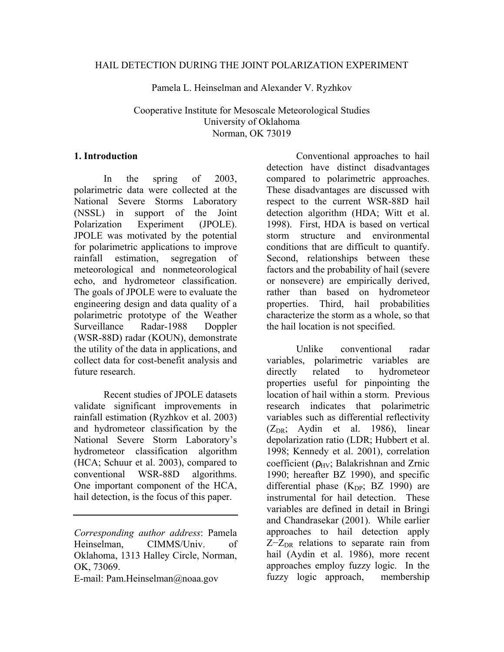Pamela L. Heinselman and Alexander V. Ryzhkov

# Cooperative Institute for Mesoscale Meteorological Studies University of Oklahoma Norman, OK 73019

### **1. Introduction**

In the spring of 2003, polarimetric data were collected at the National Severe Storms Laboratory (NSSL) in support of the Joint Polarization Experiment (JPOLE). JPOLE was motivated by the potential for polarimetric applications to improve rainfall estimation, segregation of meteorological and nonmeteorological echo, and hydrometeor classification. The goals of JPOLE were to evaluate the engineering design and data quality of a polarimetric prototype of the Weather Surveillance Radar-1988 Doppler (WSR-88D) radar (KOUN), demonstrate the utility of the data in applications, and collect data for cost-benefit analysis and future research.

Recent studies of JPOLE datasets validate significant improvements in rainfall estimation (Ryzhkov et al. 2003) and hydrometeor classification by the National Severe Storm Laboratory's hydrometeor classification algorithm (HCA; Schuur et al. 2003), compared to conventional WSR-88D algorithms. One important component of the HCA, hail detection, is the focus of this paper.

E-mail: Pam.Heinselman@noaa.gov

Conventional approaches to hail detection have distinct disadvantages compared to polarimetric approaches. These disadvantages are discussed with respect to the current WSR-88D hail detection algorithm (HDA; Witt et al. 1998). First, HDA is based on vertical storm structure and environmental conditions that are difficult to quantify. Second, relationships between these factors and the probability of hail (severe or nonsevere) are empirically derived, rather than based on hydrometeor properties. Third, hail probabilities characterize the storm as a whole, so that the hail location is not specified.

Unlike conventional radar variables, polarimetric variables are directly related to hydrometeor properties useful for pinpointing the location of hail within a storm. Previous research indicates that polarimetric variables such as differential reflectivity  $(Z_{DR}$ ; Aydin et al. 1986), linear depolarization ratio (LDR; Hubbert et al. 1998; Kennedy et al. 2001), correlation coefficient ( $\rho_{HV}$ ; Balakrishnan and Zrnic 1990; hereafter BZ 1990), and specific differential phase  $(K_{DP}; BZ 1990)$  are instrumental for hail detection. These variables are defined in detail in Bringi and Chandrasekar (2001). While earlier approaches to hail detection apply  $Z-Z<sub>DR</sub>$  relations to separate rain from hail (Aydin et al. 1986), more recent approaches employ fuzzy logic. In the fuzzy logic approach, membership

*Corresponding author address*: Pamela Heinselman, CIMMS/Univ. of Oklahoma, 1313 Halley Circle, Norman, OK, 73069.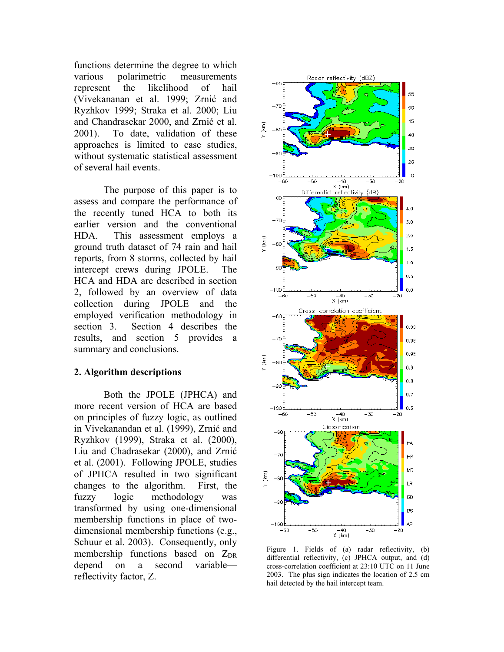functions determine the degree to which various polarimetric measurements represent the likelihood of hail (Vivekananan et al. 1999; Zrnić and Ryzhkov 1999; Straka et al. 2000; Liu and Chandrasekar 2000, and Zrnić et al. 2001). To date, validation of these approaches is limited to case studies, without systematic statistical assessment of several hail events.

The purpose of this paper is to assess and compare the performance of the recently tuned HCA to both its earlier version and the conventional HDA. This assessment employs a ground truth dataset of 74 rain and hail reports, from 8 storms, collected by hail intercept crews during JPOLE. The HCA and HDA are described in section 2, followed by an overview of data collection during JPOLE and the employed verification methodology in section 3. Section 4 describes the results, and section 5 provides a summary and conclusions.

# **2. Algorithm descriptions**

Both the JPOLE (JPHCA) and more recent version of HCA are based on principles of fuzzy logic, as outlined in Vivekanandan et al. (1999), Zrnić and Ryzhkov (1999), Straka et al. (2000), Liu and Chadrasekar (2000), and Zrnić et al. (2001). Following JPOLE, studies of JPHCA resulted in two significant changes to the algorithm. First, the fuzzy logic methodology was transformed by using one-dimensional membership functions in place of twodimensional membership functions (e.g., Schuur et al. 2003). Consequently, only membership functions based on  $Z_{\text{DR}}$ depend on a second variable reflectivity factor, Z.



Figure 1. Fields of (a) radar reflectivity, (b) differential reflectivity, (c) JPHCA output, and (d) cross-correlation coefficient at 23:10 UTC on 11 June 2003. The plus sign indicates the location of 2.5 cm hail detected by the hail intercept team.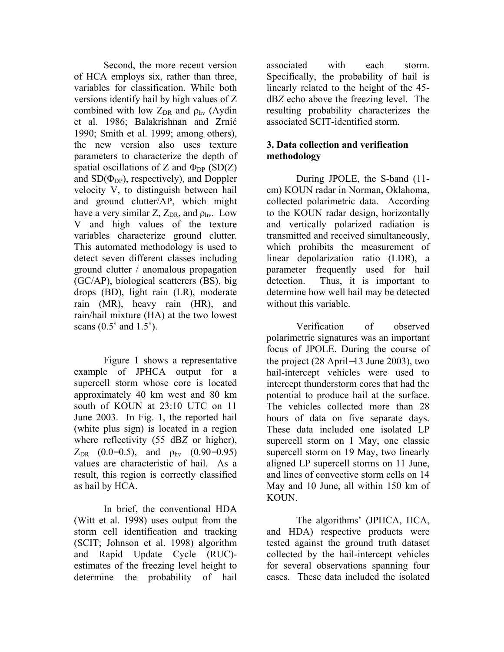Second, the more recent version of HCA employs six, rather than three, variables for classification. While both versions identify hail by high values of Z combined with low  $Z_{DR}$  and  $\rho_{hv}$  (Aydin et al. 1986; Balakrishnan and Zrnić 1990; Smith et al. 1999; among others), the new version also uses texture parameters to characterize the depth of spatial oscillations of Z and  $\Phi_{DP}$  (SD(Z) and  $SD(\Phi_{DP})$ , respectively), and Doppler velocity V, to distinguish between hail and ground clutter/AP, which might have a very similar Z,  $Z_{DR}$ , and  $\rho_{hv}$ . Low V and high values of the texture variables characterize ground clutter. This automated methodology is used to detect seven different classes including ground clutter / anomalous propagation (GC/AP), biological scatterers (BS), big drops (BD), light rain (LR), moderate rain (MR), heavy rain (HR), and rain/hail mixture (HA) at the two lowest scans  $(0.5^{\circ}$  and  $1.5^{\circ})$ .

Figure 1 shows a representative example of JPHCA output for a supercell storm whose core is located approximately 40 km west and 80 km south of KOUN at 23:10 UTC on 11 June 2003. In Fig. 1, the reported hail (white plus sign) is located in a region where reflectivity (55 dB*Z* or higher),  $Z_{\text{DR}}$  (0.0–0.5), and  $\rho_{\text{hv}}$  (0.90–0.95) values are characteristic of hail. As a result, this region is correctly classified as hail by HCA.

In brief, the conventional HDA (Witt et al. 1998) uses output from the storm cell identification and tracking (SCIT; Johnson et al. 1998) algorithm and Rapid Update Cycle (RUC) estimates of the freezing level height to determine the probability of hail

associated with each storm. Specifically, the probability of hail is linearly related to the height of the 45 dB*Z* echo above the freezing level. The resulting probability characterizes the associated SCIT-identified storm.

# **3. Data collection and verification methodology**

During JPOLE, the S-band (11 cm) KOUN radar in Norman, Oklahoma, collected polarimetric data. According to the KOUN radar design, horizontally and vertically polarized radiation is transmitted and received simultaneously, which prohibits the measurement of linear depolarization ratio (LDR), a parameter frequently used for hail detection. Thus, it is important to determine how well hail may be detected without this variable.

Verification of observed polarimetric signatures was an important focus of JPOLE. During the course of the project (28 April−13 June 2003), two hail-intercept vehicles were used to intercept thunderstorm cores that had the potential to produce hail at the surface. The vehicles collected more than 28 hours of data on five separate days. These data included one isolated LP supercell storm on 1 May, one classic supercell storm on 19 May, two linearly aligned LP supercell storms on 11 June, and lines of convective storm cells on 14 May and 10 June, all within 150 km of KOUN.

The algorithms' (JPHCA, HCA, and HDA) respective products were tested against the ground truth dataset collected by the hail-intercept vehicles for several observations spanning four cases. These data included the isolated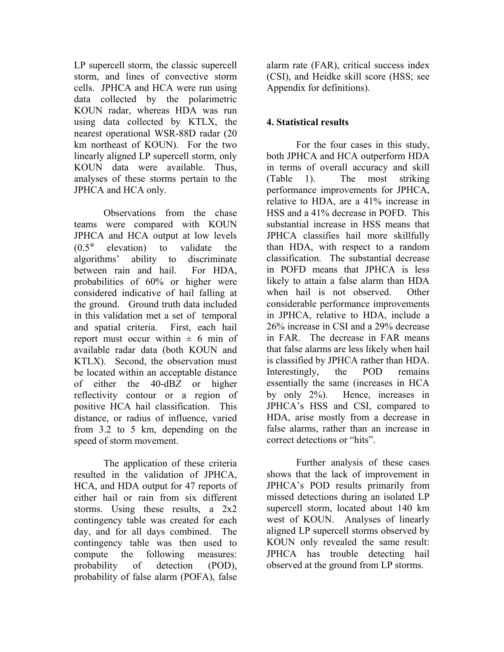LP supercell storm, the classic supercell storm, and lines of convective storm cells. JPHCA and HCA were run using data collected by the polarimetric KOUN radar, whereas HDA was run using data collected by KTLX, the nearest operational WSR-88D radar (20 km northeast of KOUN). For the two linearly aligned LP supercell storm, only KOUN data were available. Thus, analyses of these storms pertain to the JPHCA and HCA only.

Observations from the chase teams were compared with KOUN JPHCA and HCA output at low levels (0.5° elevation) to validate the algorithms' ability to discriminate between rain and hail. For HDA, probabilities of 60% or higher were considered indicative of hail falling at the ground. Ground truth data included in this validation met a set of temporal and spatial criteria. First, each hail report must occur within  $\pm$  6 min of available radar data (both KOUN and KTLX). Second, the observation must be located within an acceptable distance of either the 40-dB*Z* or higher reflectivity contour or a region of positive HCA hail classification. This distance, or radius of influence, varied from 3.2 to 5 km, depending on the speed of storm movement.

The application of these criteria resulted in the validation of JPHCA, HCA, and HDA output for 47 reports of either hail or rain from six different storms. Using these results, a 2x2 contingency table was created for each day, and for all days combined. The contingency table was then used to compute the following measures: probability of detection (POD), probability of false alarm (POFA), false

alarm rate (FAR), critical success index (CSI), and Heidke skill score (HSS; see Appendix for definitions).

# **4. Statistical results**

For the four cases in this study, both JPHCA and HCA outperform HDA in terms of overall accuracy and skill (Table 1). The most striking performance improvements for JPHCA, relative to HDA, are a 41% increase in HSS and a 41% decrease in POFD. This substantial increase in HSS means that JPHCA classifies hail more skillfully than HDA, with respect to a random classification. The substantial decrease in POFD means that JPHCA is less likely to attain a false alarm than HDA when hail is not observed. Other considerable performance improvements in JPHCA, relative to HDA, include a 26% increase in CSI and a 29% decrease in FAR. The decrease in FAR means that false alarms are less likely when hail is classified by JPHCA rather than HDA. Interestingly, the POD remains essentially the same (increases in HCA by only 2%). Hence, increases in JPHCA's HSS and CSI, compared to HDA, arise mostly from a decrease in false alarms, rather than an increase in correct detections or "hits".

Further analysis of these cases shows that the lack of improvement in JPHCA's POD results primarily from missed detections during an isolated LP supercell storm, located about 140 km west of KOUN. Analyses of linearly aligned LP supercell storms observed by KOUN only revealed the same result: JPHCA has trouble detecting hail observed at the ground from LP storms.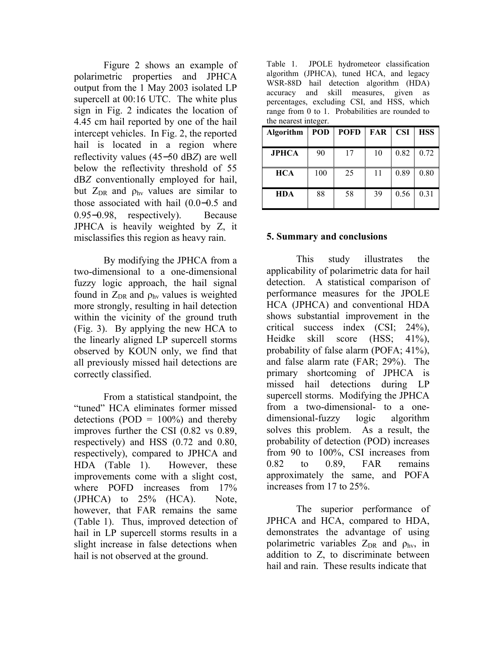Figure 2 shows an example of polarimetric properties and JPHCA output from the 1 May 2003 isolated LP supercell at 00:16 UTC. The white plus sign in Fig. 2 indicates the location of 4.45 cm hail reported by one of the hail intercept vehicles. In Fig. 2, the reported hail is located in a region where reflectivity values (45−50 dB*Z*) are well below the reflectivity threshold of 55 dB*Z* conventionally employed for hail, but  $Z_{DR}$  and  $\rho_{hv}$  values are similar to those associated with hail (0.0−0.5 and 0.95−0.98, respectively). Because JPHCA is heavily weighted by Z, it misclassifies this region as heavy rain.

By modifying the JPHCA from a two-dimensional to a one-dimensional fuzzy logic approach, the hail signal found in  $Z_{DR}$  and  $\rho_{hv}$  values is weighted more strongly, resulting in hail detection within the vicinity of the ground truth (Fig. 3). By applying the new HCA to the linearly aligned LP supercell storms observed by KOUN only, we find that all previously missed hail detections are correctly classified.

From a statistical standpoint, the "tuned" HCA eliminates former missed detections (POD =  $100\%$ ) and thereby improves further the CSI (0.82 vs 0.89, respectively) and HSS (0.72 and 0.80, respectively), compared to JPHCA and HDA (Table 1). However, these improvements come with a slight cost, where POFD increases from 17% (JPHCA) to 25% (HCA). Note, however, that FAR remains the same (Table 1). Thus, improved detection of hail in LP supercell storms results in a slight increase in false detections when hail is not observed at the ground.

Table 1. JPOLE hydrometeor classification algorithm (JPHCA), tuned HCA, and legacy WSR-88D hail detection algorithm (HDA) accuracy and skill measures, given as percentages, excluding CSI, and HSS, which range from 0 to 1. Probabilities are rounded to the nearest integer.

| $\frac{1}{2}$    |            |             |     |            |            |
|------------------|------------|-------------|-----|------------|------------|
| <b>Algorithm</b> | <b>POD</b> | <b>POFD</b> | FAR | <b>CSI</b> | <b>HSS</b> |
| <b>JPHCA</b>     | 90         | 17          | 10  | 0.82       | 0.72       |
| <b>HCA</b>       | 100        | 25          | 11  | 0.89       | 0.80       |
| <b>HDA</b>       | 88         | 58          | 39  | 0.56       | 0.31       |

# **5. Summary and conclusions**

This study illustrates the applicability of polarimetric data for hail detection. A statistical comparison of performance measures for the JPOLE HCA (JPHCA) and conventional HDA shows substantial improvement in the critical success index (CSI; 24%), Heidke skill score (HSS; 41%), probability of false alarm (POFA; 41%), and false alarm rate (FAR; 29%). The primary shortcoming of JPHCA is missed hail detections during LP supercell storms. Modifying the JPHCA from a two-dimensional- to a onedimensional-fuzzy logic algorithm solves this problem. As a result, the probability of detection (POD) increases from 90 to 100%, CSI increases from 0.82 to 0.89, FAR remains approximately the same, and POFA increases from 17 to 25%.

The superior performance of JPHCA and HCA, compared to HDA, demonstrates the advantage of using polarimetric variables  $Z_{DR}$  and  $\rho_{hv}$ , in addition to Z, to discriminate between hail and rain. These results indicate that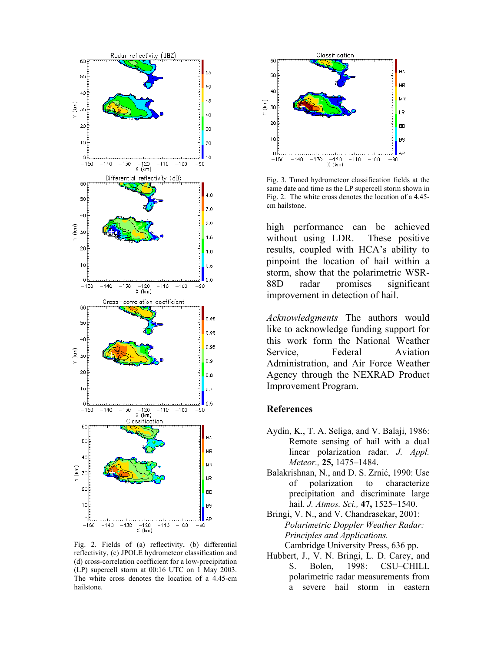

Fig. 2. Fields of (a) reflectivity, (b) differential reflectivity, (c) JPOLE hydrometeor classification and (d) cross-correlation coefficient for a low-precipitation (LP) supercell storm at 00:16 UTC on 1 May 2003. The white cross denotes the location of a 4.45-cm hailstone.



Fig. 3. Tuned hydrometeor classification fields at the same date and time as the LP supercell storm shown in Fig. 2. The white cross denotes the location of a 4.45 cm hailstone.

high performance can be achieved without using LDR. These positive results, coupled with HCA's ability to pinpoint the location of hail within a storm, show that the polarimetric WSR-88D radar promises significant improvement in detection of hail.

*Acknowledgments* The authors would like to acknowledge funding support for this work form the National Weather Service, Federal Aviation Administration, and Air Force Weather Agency through the NEXRAD Product Improvement Program.

#### **References**

- Aydin, K., T. A. Seliga, and V. Balaji, 1986: Remote sensing of hail with a dual linear polarization radar. *J. Appl. Meteor.,* **25,** 1475–1484.
- Balakrishnan, N., and D. S. Zrnić, 1990: Use of polarization to characterize precipitation and discriminate large hail. *J. Atmos. Sci.,* **47,** 1525–1540.
- Bringi, V. N., and V. Chandrasekar, 2001: *Polarimetric Doppler Weather Radar: Principles and Applications.* Cambridge University Press, 636 pp.
- Hubbert, J., V. N. Bringi, L. D. Carey, and S. Bolen, 1998: CSU–CHILL polarimetric radar measurements from a severe hail storm in eastern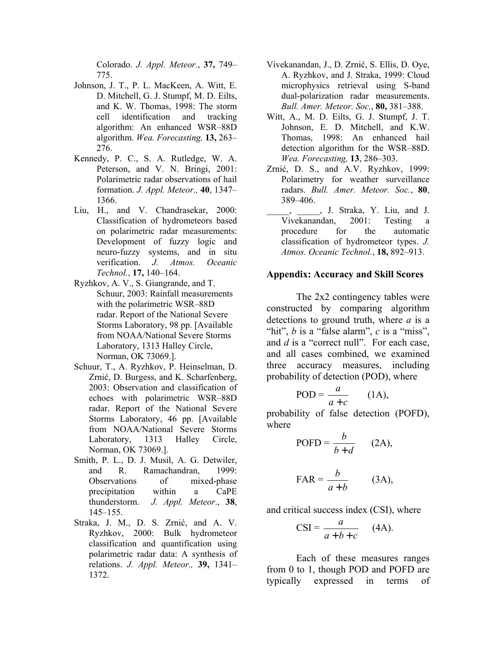Colorado. *J. Appl. Meteor.*, **37,** 749– 775.

- Johnson, J. T., P. L. MacKeen, A. Witt, E. D. Mitchell, G. J. Stumpf, M. D. Eilts, and K. W. Thomas, 1998: The storm cell identification and tracking algorithm: An enhanced WSR–88D algorithm. *Wea. Forecasting,* **13,** 263– 276.
- Kennedy, P. C., S. A. Rutledge, W. A. Peterson, and V. N. Bringi, 2001: Polarimetric radar observations of hail formation. *J. Appl. Meteor.,* **40**, 1347– 1366.
- Liu, H., and V. Chandrasekar, 2000: Classification of hydrometeors based on polarimetric radar measurements: Development of fuzzy logic and neuro-fuzzy systems, and in situ verification. *J. Atmos. Oceanic Technol.*, **17,** 140–164.
- Ryzhkov, A. V., S. Giangrande, and T. Schuur, 2003: Rainfall measurements with the polarimetric WSR–88D radar. Report of the National Severe Storms Laboratory, 98 pp. [Available from NOAA/National Severe Storms Laboratory, 1313 Halley Circle, Norman, OK 73069.].
- Schuur, T., A. Ryzhkov, P. Heinselman, D. Zrnić, D. Burgess, and K. Scharfenberg, 2003: Observation and classification of echoes with polarimetric WSR–88D radar. Report of the National Severe Storms Laboratory, 46 pp. [Available from NOAA/National Severe Storms Laboratory, 1313 Halley Circle, Norman, OK 73069.].
- Smith, P. L., D. J. Musil, A. G. Detwiler, and R. Ramachandran, 1999: Observations of mixed-phase precipitation within a CaPE thunderstorm. *J. Appl. Meteor*., **38**, 145–155.
- Straka, J. M., D. S. Zrnić, and A. V. Ryzhkov, 2000: Bulk hydrometeor classification and quantification using polarimetric radar data: A synthesis of relations. *J. Appl. Meteor.,* **39,** 1341– 1372.
- Vivekanandan, J., D. Zrnić, S. Ellis, D. Oye, A. Ryzhkov, and J. Straka, 1999: Cloud microphysics retrieval using S-band dual-polarization radar measurements. *Bull. Amer. Meteor. Soc.*, **80,** 381–388.
- Witt, A., M. D. Eilts, G. J. Stumpf, J. T. Johnson, E. D. Mitchell, and K.W. Thomas, 1998: An enhanced hail detection algorithm for the WSR–88D. *Wea. Forecasting,* **13**, 286–303.
- Zrnić, D. S., and A.V. Ryzhkov, 1999: Polarimetry for weather surveillance radars. *Bull. Amer. Meteor. Soc.*, **80**, 389–406.
- \_\_\_\_\_, \_\_\_\_\_, J. Straka, Y. Liu, and J. Vivekanandan, 2001: Testing a procedure for the automatic classification of hydrometeor types. *J. Atmos. Oceanic Technol.*, **18,** 892–913.

#### **Appendix: Accuracy and Skill Scores**

The 2x2 contingency tables were constructed by comparing algorithm detections to ground truth, where *a* is a "hit", *b* is a "false alarm", *c* is a "miss", and *d* is a "correct null". For each case, and all cases combined, we examined three accuracy measures, including probability of detection (POD), where

$$
POD = \frac{a}{a+c} \qquad (1A),
$$

probability of false detection (POFD), where

$$
POFD = \frac{b}{b+d} \quad (2A),
$$

$$
FAR = \frac{b}{a+b} \qquad (3A),
$$

and critical success index (CSI), where

$$
CSI = \frac{a}{a+b+c} \quad (4A).
$$

Each of these measures ranges from 0 to 1, though POD and POFD are typically expressed in terms of